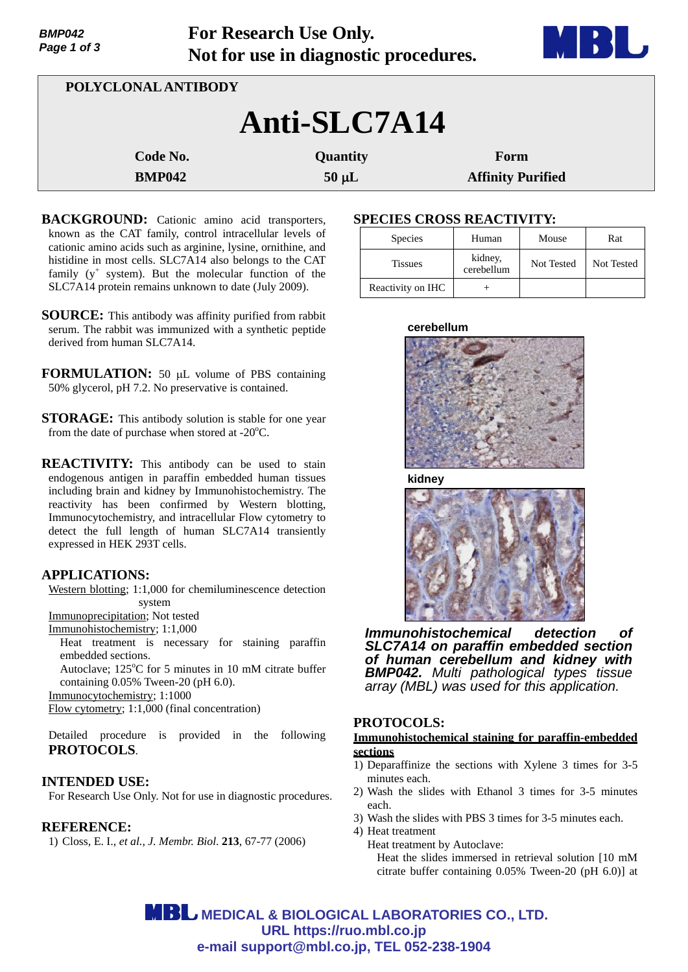| <b>שדט וויוש</b><br>Tot Research Ose Omy.<br>Page 1 of 3<br>Not for use in diagnostic procedures. |               |            | <b>DISCO</b>             |  |  |
|---------------------------------------------------------------------------------------------------|---------------|------------|--------------------------|--|--|
| POLYCLONAL ANTIBODY                                                                               |               |            |                          |  |  |
| Anti-SLC7A14                                                                                      |               |            |                          |  |  |
|                                                                                                   | Code No.      | Quantity   | Form                     |  |  |
|                                                                                                   | <b>BMP042</b> | $50 \mu L$ | <b>Affinity Purified</b> |  |  |

**For Research Use Only.**

- **BACKGROUND:** Cationic amino acid transporters, known as the CAT family, control intracellular levels of cationic amino acids such as arginine, lysine, ornithine, and histidine in most cells. SLC7A14 also belongs to the CAT family  $(y^+$  system). But the molecular function of the SLC7A14 protein remains unknown to date (July 2009).
- **SOURCE:** This antibody was affinity purified from rabbit serum. The rabbit was immunized with a synthetic peptide derived from human SLC7A14.
- **FORMULATION:** 50 µL volume of PBS containing 50% glycerol, pH 7.2. No preservative is contained.
- **STORAGE:** This antibody solution is stable for one year from the date of purchase when stored at  $-20^{\circ}$ C.
- **REACTIVITY:** This antibody can be used to stain endogenous antigen in paraffin embedded human tissues including brain and kidney by Immunohistochemistry. The reactivity has been confirmed by Western blotting, Immunocytochemistry, and intracellular Flow cytometry to detect the full length of human SLC7A14 transiently expressed in HEK 293T cells.

### **APPLICATIONS:**

*BMP042* 

Western blotting; 1:1,000 for chemiluminescence detection system

Immunoprecipitation; Not tested

Immunohistochemistry; 1:1,000

Heat treatment is necessary for staining paraffin embedded sections.

Autoclave; 125°C for 5 minutes in 10 mM citrate buffer containing 0.05% Tween-20 (pH 6.0).

Immunocytochemistry; 1:1000

Flow cytometry; 1:1,000 (final concentration)

Detailed procedure is provided in the following **PROTOCOLS**.

## **INTENDED USE:**

For Research Use Only. Not for use in diagnostic procedures.

### **REFERENCE:**

1) Closs, E. I., *et al., J. Membr. Biol*. **213**, 67-77 (2006)

# **SPECIES CROSS REACTIVITY:**

| Species           | Human                 | Mouse      | Rat        |
|-------------------|-----------------------|------------|------------|
| <b>Tissues</b>    | kidney,<br>cerebellum | Not Tested | Not Tested |
| Reactivity on IHC |                       |            |            |

**The Community of the Community** 

#### **cerebellum**



**kidney**



*Immunohistochemical detection of SLC7A14 on paraffin embedded section of human cerebellum and kidney with BMP042. Multi pathological types tissue array (MBL) was used for this application.*

### **PROTOCOLS:**

### **Immunohistochemical staining for paraffin-embedded sections**

- 1) Deparaffinize the sections with Xylene 3 times for 3-5 minutes each.
- 2) Wash the slides with Ethanol 3 times for 3-5 minutes each.
- 3) Wash the slides with PBS 3 times for 3-5 minutes each.

4) Heat treatment

Heat treatment by Autoclave:

Heat the slides immersed in retrieval solution [10 mM citrate buffer containing 0.05% Tween-20 (pH 6.0)] at

**MBL** MEDICAL & BIOLOGICAL LABORATORIES CO., LTD. **URL https://ruo.mbl.co.jp e-mail support@mbl.co.jp, TEL 052-238-1904**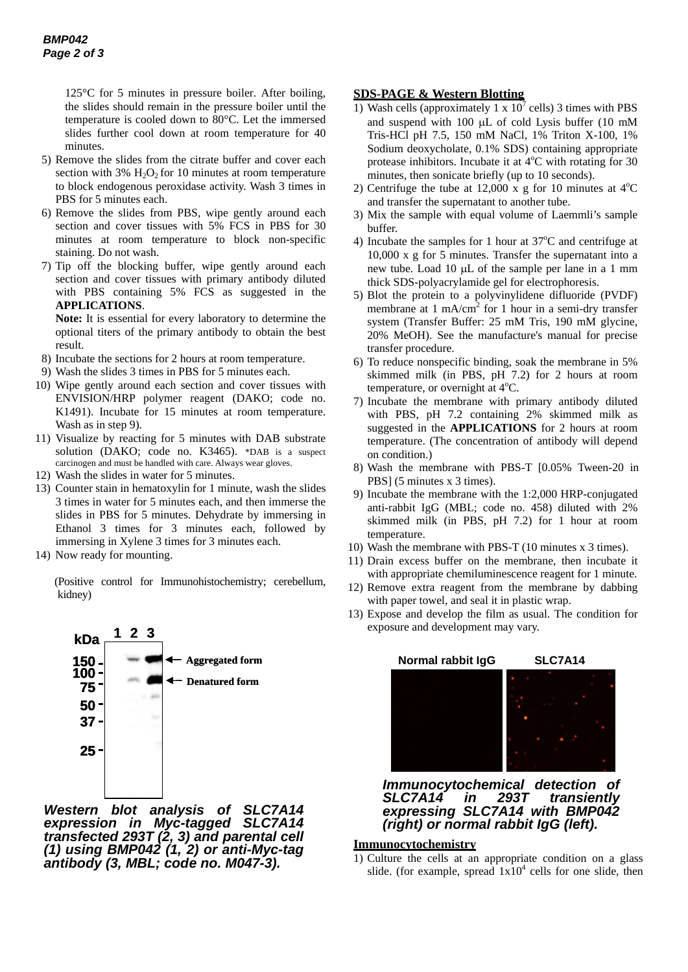125°C for 5 minutes in pressure boiler. After boiling, the slides should remain in the pressure boiler until the temperature is cooled down to 80°C. Let the immersed slides further cool down at room temperature for 40 minutes.

- 5) Remove the slides from the citrate buffer and cover each section with  $3\%$  H<sub>2</sub>O<sub>2</sub> for 10 minutes at room temperature to block endogenous peroxidase activity. Wash 3 times in PBS for 5 minutes each.
- 6) Remove the slides from PBS, wipe gently around each section and cover tissues with 5% FCS in PBS for 30 minutes at room temperature to block non-specific staining. Do not wash.
- 7) Tip off the blocking buffer, wipe gently around each section and cover tissues with primary antibody diluted with PBS containing 5% FCS as suggested in the **APPLICATIONS**.

**Note:** It is essential for every laboratory to determine the optional titers of the primary antibody to obtain the best result.

- 8) Incubate the sections for 2 hours at room temperature.
- 9) Wash the slides 3 times in PBS for 5 minutes each.
- 10) Wipe gently around each section and cover tissues with ENVISION/HRP polymer reagent (DAKO; code no. K1491). Incubate for 15 minutes at room temperature. Wash as in step 9).
- 11) Visualize by reacting for 5 minutes with DAB substrate solution (DAKO; code no. K3465). \*DAB is a suspect carcinogen and must be handled with care. Always wear gloves.
- 12) Wash the slides in water for 5 minutes.
- 13) Counter stain in hematoxylin for 1 minute, wash the slides 3 times in water for 5 minutes each, and then immerse the slides in PBS for 5 minutes. Dehydrate by immersing in Ethanol 3 times for 3 minutes each, followed by immersing in Xylene 3 times for 3 minutes each.
- 14) Now ready for mounting.

(Positive control for Immunohistochemistry; cerebellum, kidney)



*Western blot analysis of SLC7A14 expression in Myc-tagged SLC7A14 transfected 293T (2, 3) and parental cell (1) using BMP042 (1, 2) or anti-Myc-tag antibody (3, MBL; code no. M047-3).* 

### **SDS-PAGE & Western Blotting**

- 1) Wash cells (approximately 1 x  $10^7$  cells) 3 times with PBS and suspend with 100  $\mu$ L of cold Lysis buffer (10 mM Tris-HCl pH 7.5, 150 mM NaCl, 1% Triton X-100, 1% Sodium deoxycholate, 0.1% SDS) containing appropriate protease inhibitors. Incubate it at  $4^{\circ}$ C with rotating for 30 minutes, then sonicate briefly (up to 10 seconds).
- 2) Centrifuge the tube at 12,000 x g for 10 minutes at  $4^{\circ}$ C and transfer the supernatant to another tube.
- 3) Mix the sample with equal volume of Laemmli's sample buffer.
- 4) Incubate the samples for 1 hour at  $37^{\circ}$ C and centrifuge at 10,000 x g for 5 minutes. Transfer the supernatant into a new tube. Load 10  $\mu$ L of the sample per lane in a 1 mm thick SDS-polyacrylamide gel for electrophoresis.
- 5) Blot the protein to a polyvinylidene difluoride (PVDF) membrane at 1 mA/cm<sup>2</sup> for 1 hour in a semi-dry transfer system (Transfer Buffer: 25 mM Tris, 190 mM glycine, 20% MeOH). See the manufacture's manual for precise transfer procedure.
- 6) To reduce nonspecific binding, soak the membrane in 5% skimmed milk (in PBS, pH 7.2) for 2 hours at room temperature, or overnight at 4°C.
- 7) Incubate the membrane with primary antibody diluted with PBS, pH 7.2 containing 2% skimmed milk as suggested in the **APPLICATIONS** for 2 hours at room temperature. (The concentration of antibody will depend on condition.)
- 8) Wash the membrane with PBS-T [0.05% Tween-20 in PBS] (5 minutes x 3 times).
- 9) Incubate the membrane with the 1:2,000 HRP-conjugated anti-rabbit IgG (MBL; code no. 458) diluted with 2% skimmed milk (in PBS, pH 7.2) for 1 hour at room temperature.
- 10) Wash the membrane with PBS-T (10 minutes x 3 times).
- 11) Drain excess buffer on the membrane, then incubate it with appropriate chemiluminescence reagent for 1 minute.
- 12) Remove extra reagent from the membrane by dabbing with paper towel, and seal it in plastic wrap.
- 13) Expose and develop the film as usual. The condition for exposure and development may vary.



*Immunocytochemical detection of SLC7A14 in 293T transiently expressing SLC7A14 with BMP042 (right) or normal rabbit IgG (left).*

#### **Immunocytochemistry**

1) Culture the cells at an appropriate condition on a glass slide. (for example, spread  $1x10^4$  cells for one slide, then